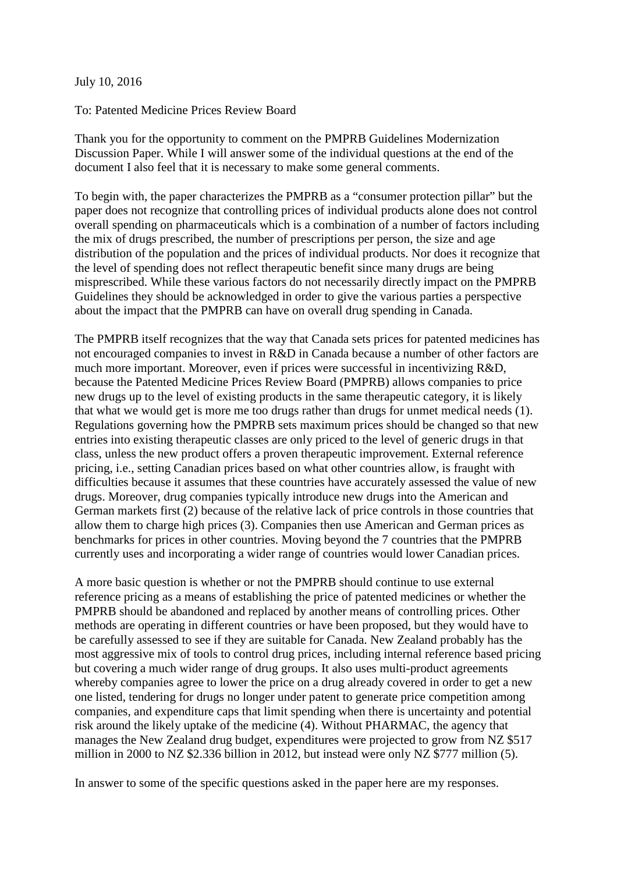July 10, 2016

To: Patented Medicine Prices Review Board

Thank you for the opportunity to comment on the PMPRB Guidelines Modernization Discussion Paper. While I will answer some of the individual questions at the end of the document I also feel that it is necessary to make some general comments.

To begin with, the paper characterizes the PMPRB as a "consumer protection pillar" but the paper does not recognize that controlling prices of individual products alone does not control overall spending on pharmaceuticals which is a combination of a number of factors including the mix of drugs prescribed, the number of prescriptions per person, the size and age distribution of the population and the prices of individual products. Nor does it recognize that the level of spending does not reflect therapeutic benefit since many drugs are being misprescribed. While these various factors do not necessarily directly impact on the PMPRB Guidelines they should be acknowledged in order to give the various parties a perspective about the impact that the PMPRB can have on overall drug spending in Canada.

The PMPRB itself recognizes that the way that Canada sets prices for patented medicines has not encouraged companies to invest in R&D in Canada because a number of other factors are much more important. Moreover, even if prices were successful in incentivizing R&D, because the Patented Medicine Prices Review Board (PMPRB) allows companies to price new drugs up to the level of existing products in the same therapeutic category, it is likely that what we would get is more me too drugs rather than drugs for unmet medical needs (1). Regulations governing how the PMPRB sets maximum prices should be changed so that new entries into existing therapeutic classes are only priced to the level of generic drugs in that class, unless the new product offers a proven therapeutic improvement. External reference pricing, i.e., setting Canadian prices based on what other countries allow, is fraught with difficulties because it assumes that these countries have accurately assessed the value of new drugs. Moreover, drug companies typically introduce new drugs into the American and German markets first (2) because of the relative lack of price controls in those countries that allow them to charge high prices (3). Companies then use American and German prices as benchmarks for prices in other countries. Moving beyond the 7 countries that the PMPRB currently uses and incorporating a wider range of countries would lower Canadian prices.

A more basic question is whether or not the PMPRB should continue to use external reference pricing as a means of establishing the price of patented medicines or whether the PMPRB should be abandoned and replaced by another means of controlling prices. Other methods are operating in different countries or have been proposed, but they would have to be carefully assessed to see if they are suitable for Canada. New Zealand probably has the most aggressive mix of tools to control drug prices, including internal reference based pricing but covering a much wider range of drug groups. It also uses multi-product agreements whereby companies agree to lower the price on a drug already covered in order to get a new one listed, tendering for drugs no longer under patent to generate price competition among companies, and expenditure caps that limit spending when there is uncertainty and potential risk around the likely uptake of the medicine (4). Without PHARMAC, the agency that manages the New Zealand drug budget, expenditures were projected to grow from NZ \$517 million in 2000 to NZ \$2.336 billion in 2012, but instead were only NZ \$777 million (5).

In answer to some of the specific questions asked in the paper here are my responses.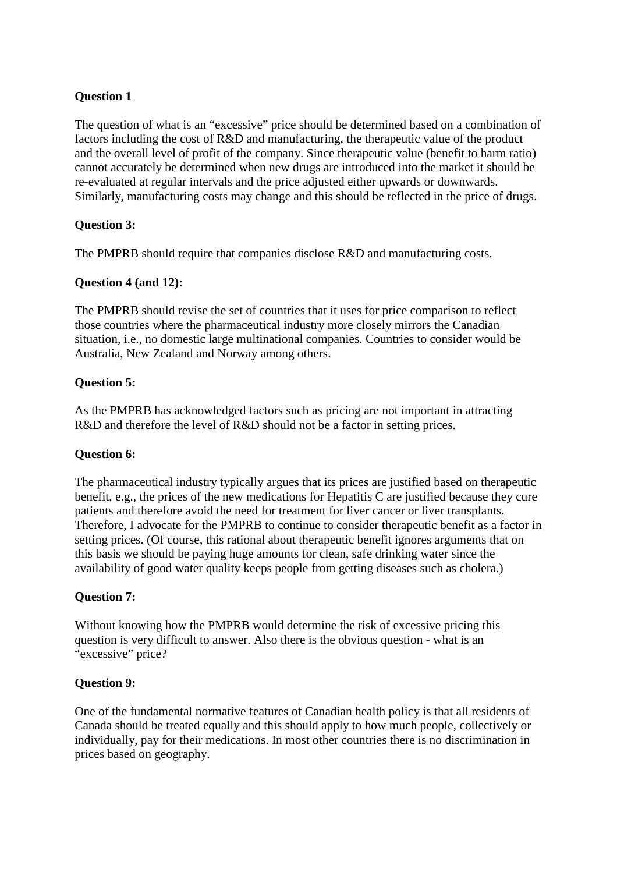## **Question 1**

The question of what is an "excessive" price should be determined based on a combination of factors including the cost of R&D and manufacturing, the therapeutic value of the product and the overall level of profit of the company. Since therapeutic value (benefit to harm ratio) cannot accurately be determined when new drugs are introduced into the market it should be re-evaluated at regular intervals and the price adjusted either upwards or downwards. Similarly, manufacturing costs may change and this should be reflected in the price of drugs.

### **Question 3:**

The PMPRB should require that companies disclose R&D and manufacturing costs.

### **Question 4 (and 12):**

The PMPRB should revise the set of countries that it uses for price comparison to reflect those countries where the pharmaceutical industry more closely mirrors the Canadian situation, i.e., no domestic large multinational companies. Countries to consider would be Australia, New Zealand and Norway among others.

### **Question 5:**

As the PMPRB has acknowledged factors such as pricing are not important in attracting R&D and therefore the level of R&D should not be a factor in setting prices.

### **Question 6:**

The pharmaceutical industry typically argues that its prices are justified based on therapeutic benefit, e.g., the prices of the new medications for Hepatitis C are justified because they cure patients and therefore avoid the need for treatment for liver cancer or liver transplants. Therefore, I advocate for the PMPRB to continue to consider therapeutic benefit as a factor in setting prices. (Of course, this rational about therapeutic benefit ignores arguments that on this basis we should be paying huge amounts for clean, safe drinking water since the availability of good water quality keeps people from getting diseases such as cholera.)

### **Question 7:**

Without knowing how the PMPRB would determine the risk of excessive pricing this question is very difficult to answer. Also there is the obvious question - what is an "excessive" price?

### **Question 9:**

One of the fundamental normative features of Canadian health policy is that all residents of Canada should be treated equally and this should apply to how much people, collectively or individually, pay for their medications. In most other countries there is no discrimination in prices based on geography.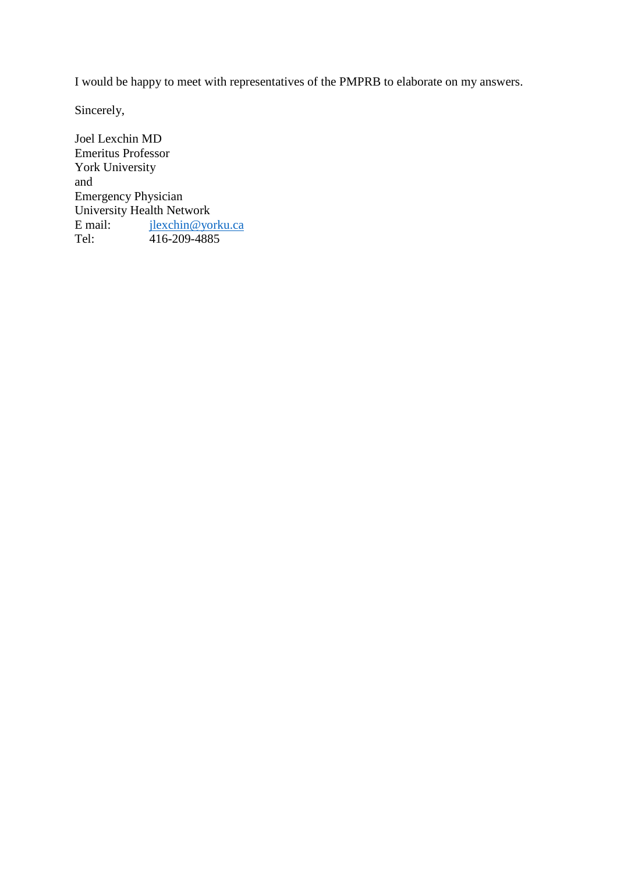I would be happy to meet with representatives of the PMPRB to elaborate on my answers.

Sincerely,

Joel Lexchin MD Emeritus Professor York University and Emergency Physician University Health Network E mail:  $\frac{jlexchin@yorku.ca}{416-209-4885}$  $\frac{jlexchin@yorku.ca}{416-209-4885}$  $\frac{jlexchin@yorku.ca}{416-209-4885}$ 416-209-4885